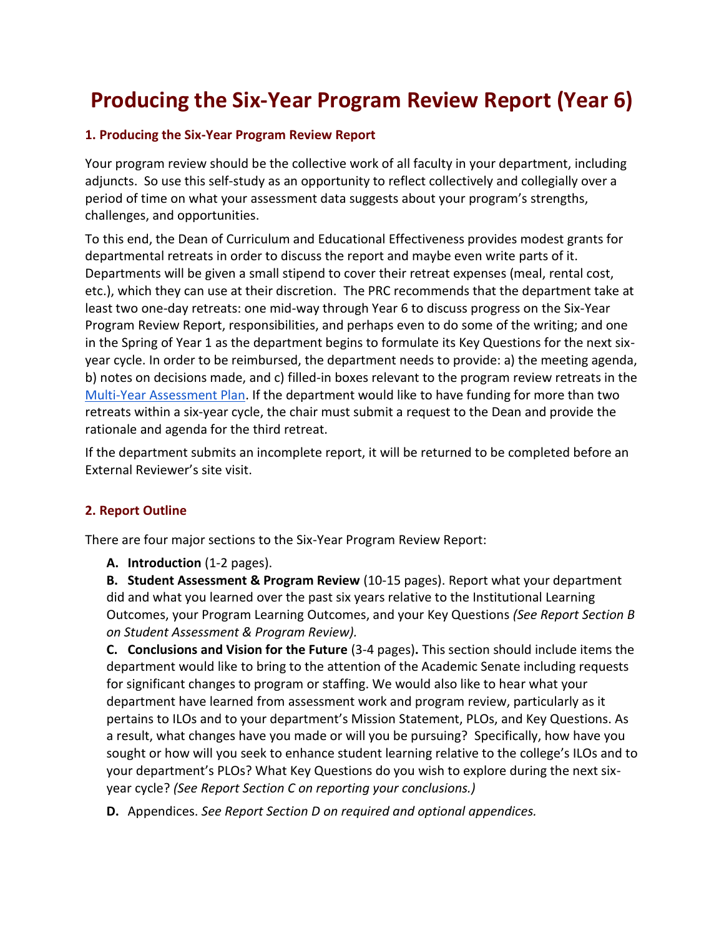# **Producing the Six-Year Program Review Report (Year 6)**

#### **1. Producing the Six-Year Program Review Report**

Your program review should be the collective work of all faculty in your department, including adjuncts. So use this self-study as an opportunity to reflect collectively and collegially over a period of time on what your assessment data suggests about your program's strengths, challenges, and opportunities.

To this end, the Dean of Curriculum and Educational Effectiveness provides modest grants for departmental retreats in order to discuss the report and maybe even write parts of it. Departments will be given a small stipend to cover their retreat expenses (meal, rental cost, etc.), which they can use at their discretion. The PRC recommends that the department take at least two one-day retreats: one mid-way through Year 6 to discuss progress on the Six-Year Program Review Report, responsibilities, and perhaps even to do some of the writing; and one in the Spring of Year 1 as the department begins to formulate its Key Questions for the next sixyear cycle. In order to be reimbursed, the department needs to provide: a) the meeting agenda, b) notes on decisions made, and c) filled-in boxes relevant to the program review retreats in the [Multi-Year Assessment Plan.](http://westmont.edu/_offices/institutional_portfolio/program_review/documents/guide/AssessmentPlan.docx) If the department would like to have funding for more than two retreats within a six-year cycle, the chair must submit a request to the Dean and provide the rationale and agenda for the third retreat.

If the department submits an incomplete report, it will be returned to be completed before an External Reviewer's site visit.

#### **2. Report Outline**

There are four major sections to the Six-Year Program Review Report:

**A. Introduction** (1-2 pages).

**B. Student Assessment & Program Review** (10-15 pages). Report what your department did and what you learned over the past six years relative to the Institutional Learning Outcomes, your Program Learning Outcomes, and your Key Questions *(See Report Section B on Student Assessment & Program Review).*

**C. Conclusions and Vision for the Future** (3-4 pages)**.** This section should include items the department would like to bring to the attention of the Academic Senate including requests for significant changes to program or staffing. We would also like to hear what your department have learned from assessment work and program review, particularly as it pertains to ILOs and to your department's Mission Statement, PLOs, and Key Questions. As a result, what changes have you made or will you be pursuing? Specifically, how have you sought or how will you seek to enhance student learning relative to the college's ILOs and to your department's PLOs? What Key Questions do you wish to explore during the next sixyear cycle? *(See Report Section C on reporting your conclusions.)*

**D.** Appendices. *See Report Section D on required and optional appendices.*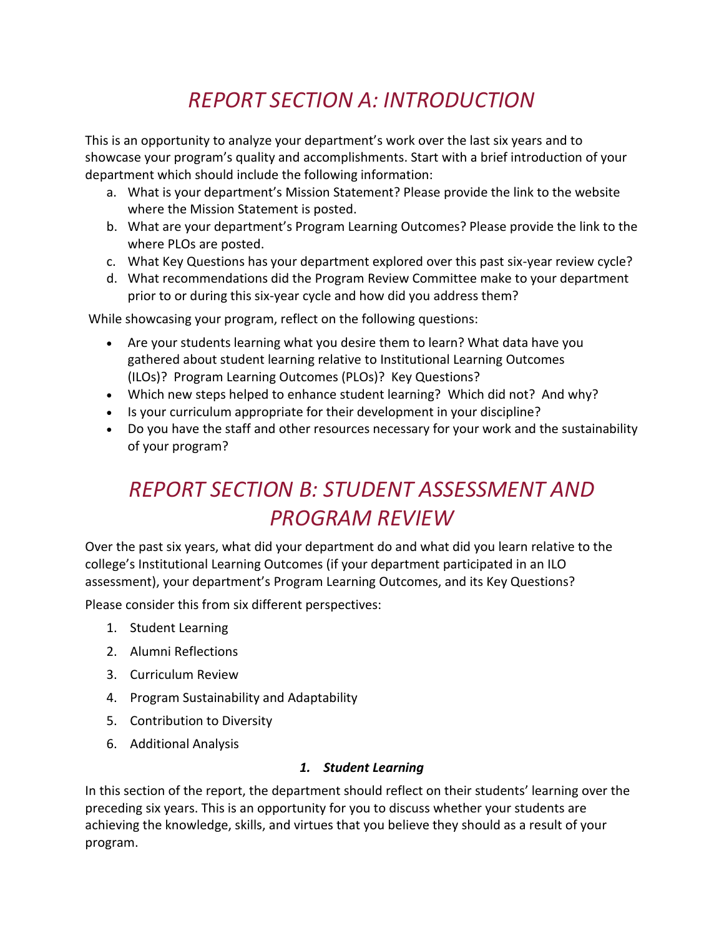# *REPORT SECTION A: INTRODUCTION*

This is an opportunity to analyze your department's work over the last six years and to showcase your program's quality and accomplishments. Start with a brief introduction of your department which should include the following information:

- a. What is your department's Mission Statement? Please provide the link to the website where the Mission Statement is posted.
- b. What are your department's Program Learning Outcomes? Please provide the link to the where PLOs are posted.
- c. What Key Questions has your department explored over this past six-year review cycle?
- d. What recommendations did the Program Review Committee make to your department prior to or during this six-year cycle and how did you address them?

While showcasing your program, reflect on the following questions:

- Are your students learning what you desire them to learn? What data have you gathered about student learning relative to Institutional Learning Outcomes (ILOs)? Program Learning Outcomes (PLOs)? Key Questions?
- Which new steps helped to enhance student learning? Which did not? And why?
- Is your curriculum appropriate for their development in your discipline?
- Do you have the staff and other resources necessary for your work and the sustainability of your program?

# *REPORT SECTION B: STUDENT ASSESSMENT AND PROGRAM REVIEW*

Over the past six years, what did your department do and what did you learn relative to the college's Institutional Learning Outcomes (if your department participated in an ILO assessment), your department's Program Learning Outcomes, and its Key Questions?

Please consider this from six different perspectives:

- 1. Student Learning
- 2. Alumni Reflections
- 3. Curriculum Review
- 4. Program Sustainability and Adaptability
- 5. Contribution to Diversity
- 6. Additional Analysis

#### *1. Student Learning*

In this section of the report, the department should reflect on their students' learning over the preceding six years. This is an opportunity for you to discuss whether your students are achieving the knowledge, skills, and virtues that you believe they should as a result of your program.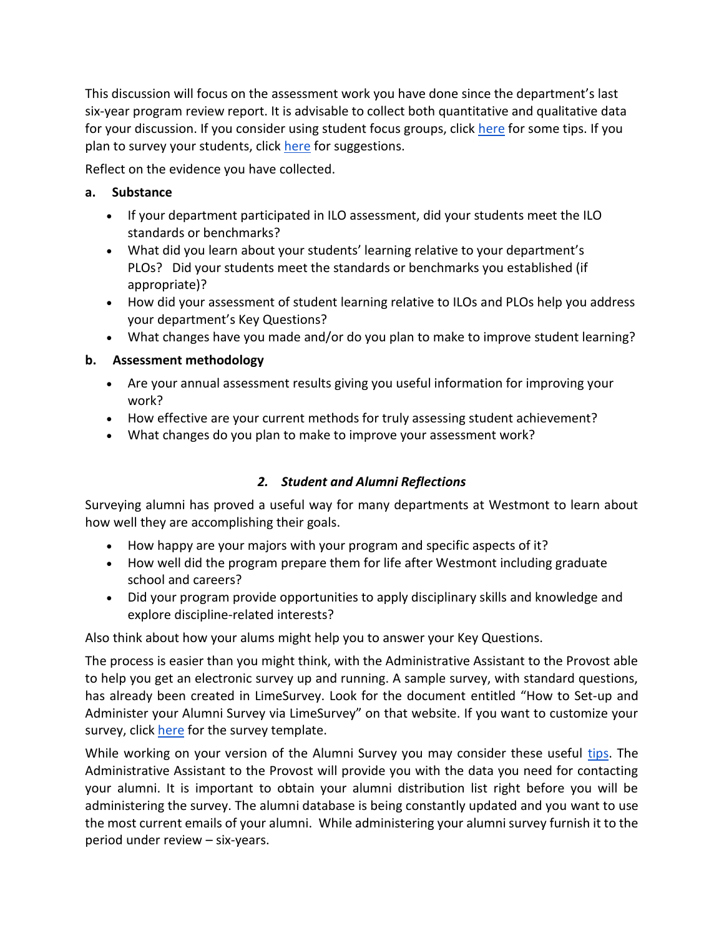This discussion will focus on the assessment work you have done since the department's last six-year program review report. It is advisable to collect both quantitative and qualitative data for your discussion. If you consider using student focus groups, click [here](http://westmont.edu/_offices/institutional_portfolio/program_review/documents/guide/FocusGroups.docx) for some tips. If you plan to survey your students, click [here](http://westmont.edu/_offices/institutional_portfolio/program_review/documents/guide/SurveyDevelopment.docx) for suggestions.

Reflect on the evidence you have collected.

### **a. Substance**

- If your department participated in ILO assessment, did your students meet the ILO standards or benchmarks?
- What did you learn about your students' learning relative to your department's PLOs? Did your students meet the standards or benchmarks you established (if appropriate)?
- How did your assessment of student learning relative to ILOs and PLOs help you address your department's Key Questions?
- What changes have you made and/or do you plan to make to improve student learning?

## **b. Assessment methodology**

- Are your annual assessment results giving you useful information for improving your work?
- How effective are your current methods for truly assessing student achievement?
- What changes do you plan to make to improve your assessment work?

## *2. Student and Alumni Reflections*

Surveying alumni has proved a useful way for many departments at Westmont to learn about how well they are accomplishing their goals.

- How happy are your majors with your program and specific aspects of it?
- How well did the program prepare them for life after Westmont including graduate school and careers?
- Did your program provide opportunities to apply disciplinary skills and knowledge and explore discipline-related interests?

Also think about how your alums might help you to answer your Key Questions.

The process is easier than you might think, with the Administrative Assistant to the Provost able to help you get an electronic survey up and running. A sample survey, with standard questions, has already been created in LimeSurvey. Look for the document entitled "How to Set-up and Administer your Alumni Survey via LimeSurvey" on that website. If you want to customize your survey, click [here](http://westmont.edu/_offices/institutional_portfolio/program_review/documents/guide/AlumniSurvey.docx) for the survey template.

While working on your version of the Alumni Survey you may consider these useful [tips.](http://westmont.edu/_offices/institutional_portfolio/program_review/documents/guide/SurveyDevelopment.docx) The Administrative Assistant to the Provost will provide you with the data you need for contacting your alumni. It is important to obtain your alumni distribution list right before you will be administering the survey. The alumni database is being constantly updated and you want to use the most current emails of your alumni. While administering your alumni survey furnish it to the period under review – six-years.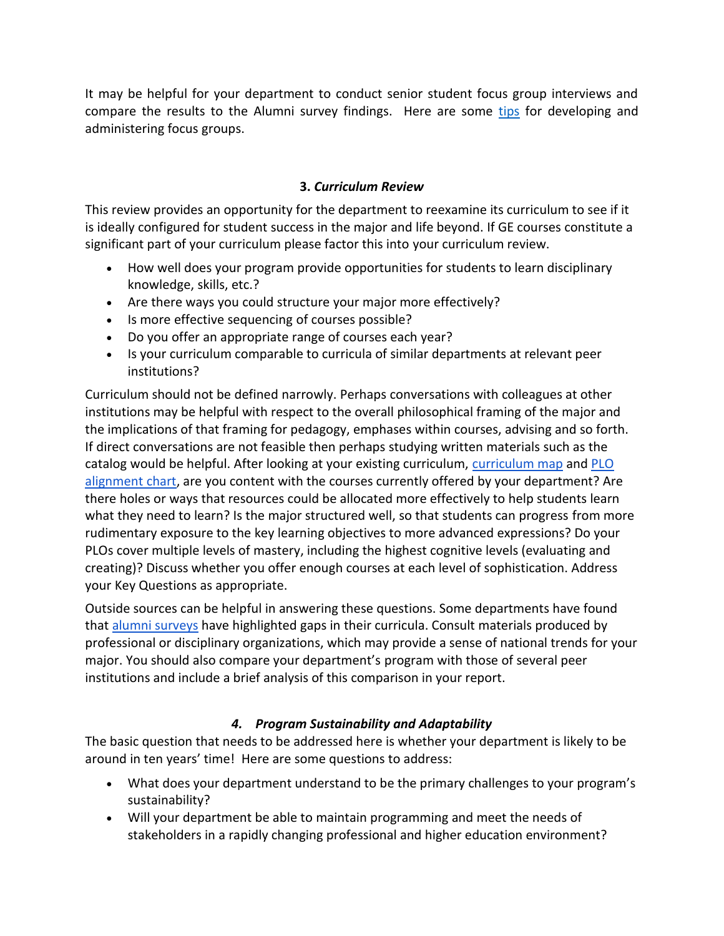It may be helpful for your department to conduct senior student focus group interviews and compare the results to the Alumni survey findings. Here are some [tips](file://///elc.westmont.edu/elc/Shared/Academic_Dean/Program%20Review%20Committee/PR%20Guide/2018%20revision/Linked%20documents%20and%20templates/Focus%20Groups.docx) for developing and administering focus groups.

#### **3.** *Curriculum Review*

This review provides an opportunity for the department to reexamine its curriculum to see if it is ideally configured for student success in the major and life beyond. If GE courses constitute a significant part of your curriculum please factor this into your curriculum review.

- How well does your program provide opportunities for students to learn disciplinary knowledge, skills, etc.?
- Are there ways you could structure your major more effectively?
- Is more effective sequencing of courses possible?
- Do you offer an appropriate range of courses each year?
- Is your curriculum comparable to curricula of similar departments at relevant peer institutions?

Curriculum should not be defined narrowly. Perhaps conversations with colleagues at other institutions may be helpful with respect to the overall philosophical framing of the major and the implications of that framing for pedagogy, emphases within courses, advising and so forth. If direct conversations are not feasible then perhaps studying written materials such as the catalog would be helpful. After looking at your existing curriculum, [curriculum map](http://westmont.edu/_offices/institutional_portfolio/program_review/documents/guide/CurriculumMap.doc) and [PLO](http://westmont.edu/_offices/institutional_portfolio/program_review/documents/guide/PLOAlignmentChart.doc)  [alignment chart,](http://westmont.edu/_offices/institutional_portfolio/program_review/documents/guide/PLOAlignmentChart.doc) are you content with the courses currently offered by your department? Are there holes or ways that resources could be allocated more effectively to help students learn what they need to learn? Is the major structured well, so that students can progress from more rudimentary exposure to the key learning objectives to more advanced expressions? Do your PLOs cover multiple levels of mastery, including the highest cognitive levels (evaluating and creating)? Discuss whether you offer enough courses at each level of sophistication. Address your Key Questions as appropriate.

Outside sources can be helpful in answering these questions. Some departments have found that [alumni surveys](http://westmont.edu/_offices/institutional_portfolio/program_review/documents/guide/AlumniSurvey.docx) have highlighted gaps in their curricula. Consult materials produced by professional or disciplinary organizations, which may provide a sense of national trends for your major. You should also compare your department's program with those of several peer institutions and include a brief analysis of this comparison in your report.

#### *4. Program Sustainability and Adaptability*

The basic question that needs to be addressed here is whether your department is likely to be around in ten years' time! Here are some questions to address:

- What does your department understand to be the primary challenges to your program's sustainability?
- Will your department be able to maintain programming and meet the needs of stakeholders in a rapidly changing professional and higher education environment?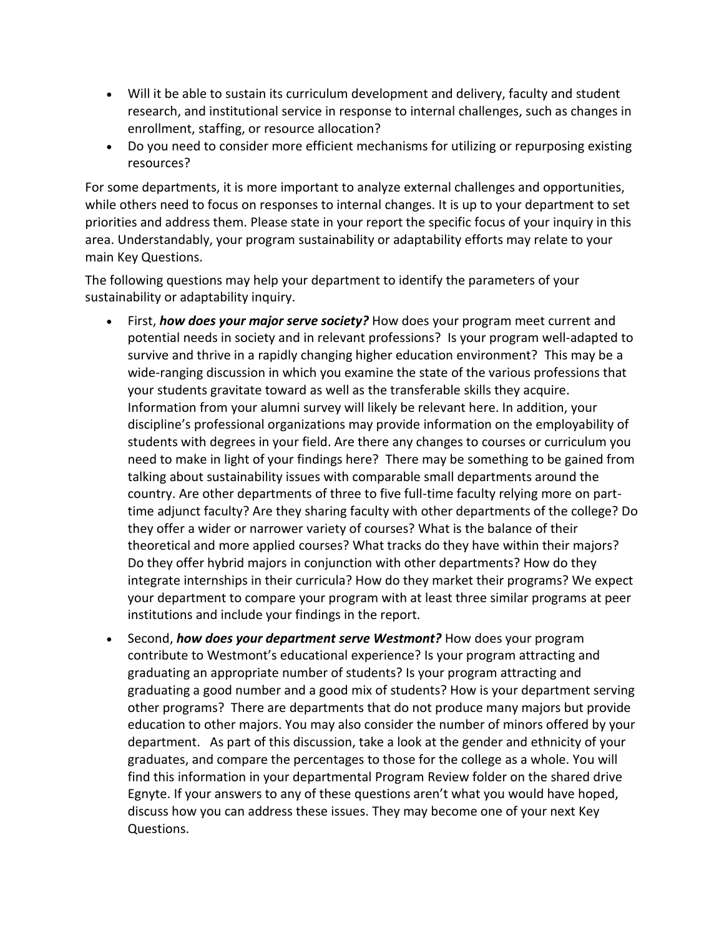- Will it be able to sustain its curriculum development and delivery, faculty and student research, and institutional service in response to internal challenges, such as changes in enrollment, staffing, or resource allocation?
- Do you need to consider more efficient mechanisms for utilizing or repurposing existing resources?

For some departments, it is more important to analyze external challenges and opportunities, while others need to focus on responses to internal changes. It is up to your department to set priorities and address them. Please state in your report the specific focus of your inquiry in this area. Understandably, your program sustainability or adaptability efforts may relate to your main Key Questions.

The following questions may help your department to identify the parameters of your sustainability or adaptability inquiry.

- First, *how does your major serve society?* How does your program meet current and potential needs in society and in relevant professions? Is your program well-adapted to survive and thrive in a rapidly changing higher education environment? This may be a wide-ranging discussion in which you examine the state of the various professions that your students gravitate toward as well as the transferable skills they acquire. Information from your alumni survey will likely be relevant here. In addition, your discipline's professional organizations may provide information on the employability of students with degrees in your field. Are there any changes to courses or curriculum you need to make in light of your findings here? There may be something to be gained from talking about sustainability issues with comparable small departments around the country. Are other departments of three to five full-time faculty relying more on parttime adjunct faculty? Are they sharing faculty with other departments of the college? Do they offer a wider or narrower variety of courses? What is the balance of their theoretical and more applied courses? What tracks do they have within their majors? Do they offer hybrid majors in conjunction with other departments? How do they integrate internships in their curricula? How do they market their programs? We expect your department to compare your program with at least three similar programs at peer institutions and include your findings in the report.
- Second, *how does your department serve Westmont?* How does your program contribute to Westmont's educational experience? Is your program attracting and graduating an appropriate number of students? Is your program attracting and graduating a good number and a good mix of students? How is your department serving other programs? There are departments that do not produce many majors but provide education to other majors. You may also consider the number of minors offered by your department. As part of this discussion, take a look at the gender and ethnicity of your graduates, and compare the percentages to those for the college as a whole. You will find this information in your departmental Program Review folder on the shared drive Egnyte. If your answers to any of these questions aren't what you would have hoped, discuss how you can address these issues. They may become one of your next Key Questions.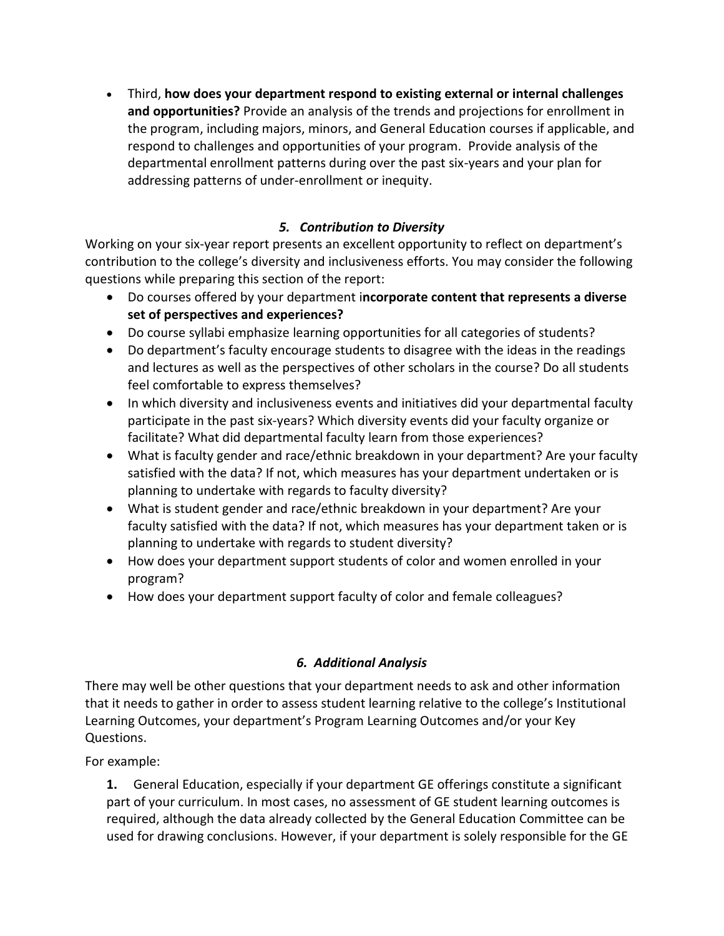Third, **how does your department respond to existing external or internal challenges and opportunities?** Provide an analysis of the trends and projections for enrollment in the program, including majors, minors, and General Education courses if applicable, and respond to challenges and opportunities of your program. Provide analysis of the departmental enrollment patterns during over the past six-years and your plan for addressing patterns of under-enrollment or inequity.

## *5. Contribution to Diversity*

Working on your six-year report presents an excellent opportunity to reflect on department's contribution to the college's diversity and inclusiveness efforts. You may consider the following questions while preparing this section of the report:

- Do courses offered by your department i**ncorporate content that represents a diverse set of perspectives and experiences?**
- Do course syllabi emphasize learning opportunities for all categories of students?
- Do department's faculty encourage students to disagree with the ideas in the readings and lectures as well as the perspectives of other scholars in the course? Do all students feel comfortable to express themselves?
- In which diversity and inclusiveness events and initiatives did your departmental faculty participate in the past six-years? Which diversity events did your faculty organize or facilitate? What did departmental faculty learn from those experiences?
- What is faculty gender and race/ethnic breakdown in your department? Are your faculty satisfied with the data? If not, which measures has your department undertaken or is planning to undertake with regards to faculty diversity?
- What is student gender and race/ethnic breakdown in your department? Are your faculty satisfied with the data? If not, which measures has your department taken or is planning to undertake with regards to student diversity?
- How does your department support students of color and women enrolled in your program?
- How does your department support faculty of color and female colleagues?

## *6. Additional Analysis*

There may well be other questions that your department needs to ask and other information that it needs to gather in order to assess student learning relative to the college's Institutional Learning Outcomes, your department's Program Learning Outcomes and/or your Key Questions.

For example:

**1.** General Education, especially if your department GE offerings constitute a significant part of your curriculum. In most cases, no assessment of GE student learning outcomes is required, although the data already collected by the General Education Committee can be used for drawing conclusions. However, if your department is solely responsible for the GE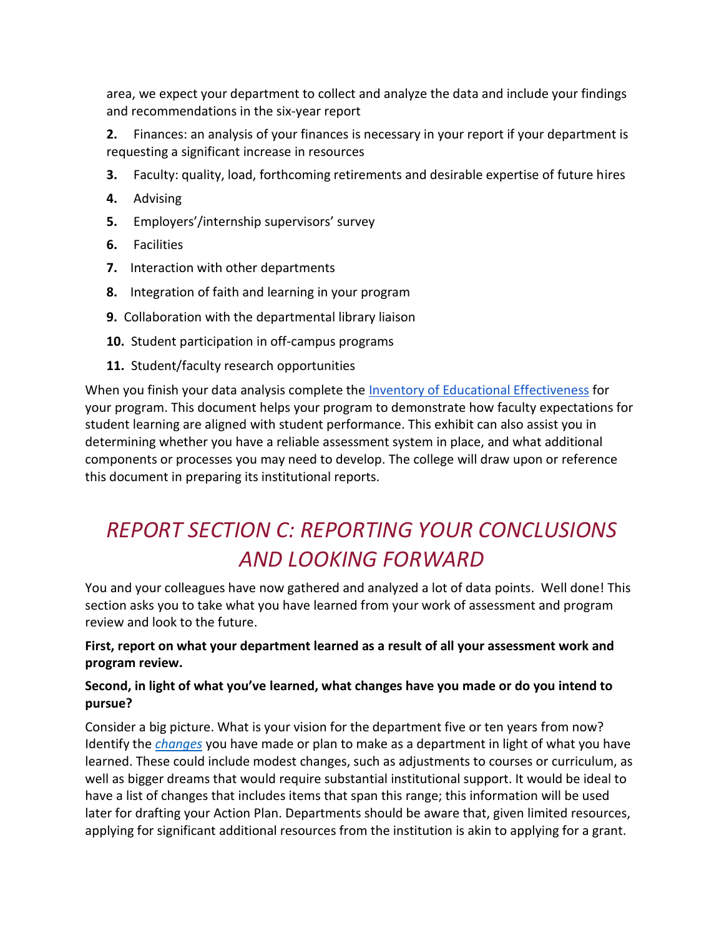area, we expect your department to collect and analyze the data and include your findings and recommendations in the six-year report

**2.** Finances: an analysis of your finances is necessary in your report if your department is requesting a significant increase in resources

- **3.** Faculty: quality, load, forthcoming retirements and desirable expertise of future hires
- **4.** Advising
- **5.** Employers'/internship supervisors' survey
- **6.** Facilities
- **7.** Interaction with other departments
- **8.** Integration of faith and learning in your program
- **9.** Collaboration with the departmental library liaison
- **10.** Student participation in off-campus programs
- **11.** Student/faculty research opportunities

When you finish your data analysis complete the [Inventory of Educational Effectiveness](http://westmont.edu/_offices/institutional_portfolio/program_review/documents/guide/IEEI.docx) for your program. This document helps your program to demonstrate how faculty expectations for student learning are aligned with student performance. This exhibit can also assist you in determining whether you have a reliable assessment system in place, and what additional components or processes you may need to develop. The college will draw upon or reference this document in preparing its institutional reports.

# *REPORT SECTION C: REPORTING YOUR CONCLUSIONS AND LOOKING FORWARD*

You and your colleagues have now gathered and analyzed a lot of data points. Well done! This section asks you to take what you have learned from your work of assessment and program review and look to the future.

#### **First, report on what your department learned as a result of all your assessment work and program review.**

### **Second, in light of what you've learned, what changes have you made or do you intend to pursue?**

Consider a big picture. What is your vision for the department five or ten years from now? Identify the *[changes](http://westmont.edu/_offices/institutional_portfolio/program_review/documents/guide/ProposedChanges.doc)* you have made or plan to make as a department in light of what you have learned. These could include modest changes, such as adjustments to courses or curriculum, as well as bigger dreams that would require substantial institutional support. It would be ideal to have a list of changes that includes items that span this range; this information will be used later for drafting your Action Plan. Departments should be aware that, given limited resources, applying for significant additional resources from the institution is akin to applying for a grant.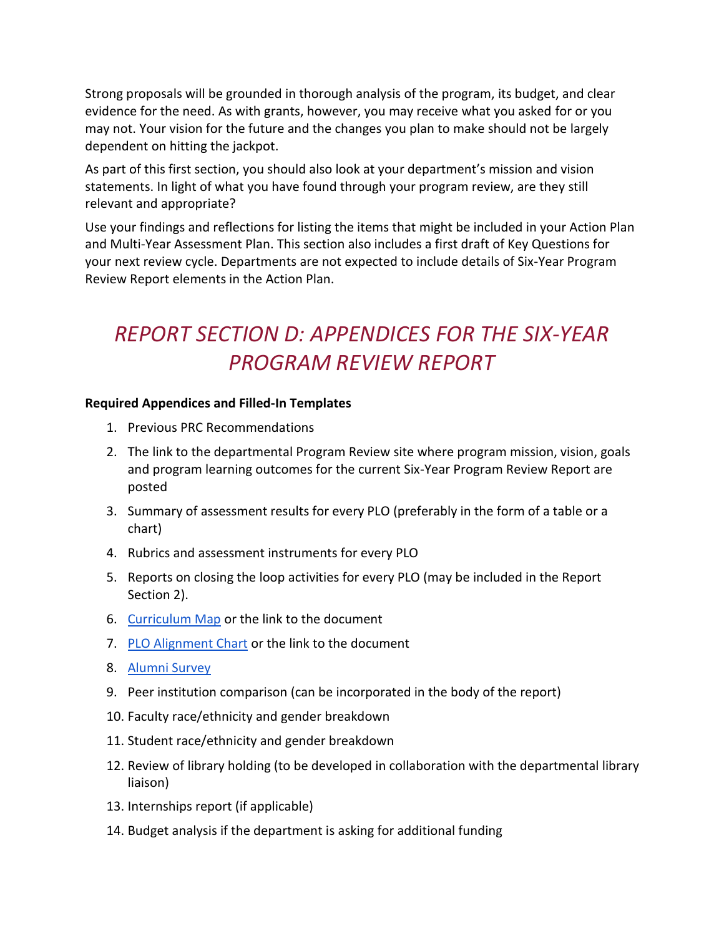Strong proposals will be grounded in thorough analysis of the program, its budget, and clear evidence for the need. As with grants, however, you may receive what you asked for or you may not. Your vision for the future and the changes you plan to make should not be largely dependent on hitting the jackpot.

As part of this first section, you should also look at your department's mission and vision statements. In light of what you have found through your program review, are they still relevant and appropriate?

Use your findings and reflections for listing the items that might be included in your Action Plan and Multi-Year Assessment Plan. This section also includes a first draft of Key Questions for your next review cycle. Departments are not expected to include details of Six-Year Program Review Report elements in the Action Plan.

# *REPORT SECTION D: APPENDICES FOR THE SIX-YEAR PROGRAM REVIEW REPORT*

#### **Required Appendices and Filled-In Templates**

- 1. Previous PRC Recommendations
- 2. The link to the departmental Program Review site where program mission, vision, goals and program learning outcomes for the current Six-Year Program Review Report are posted
- 3. Summary of assessment results for every PLO (preferably in the form of a table or a chart)
- 4. Rubrics and assessment instruments for every PLO
- 5. Reports on closing the loop activities for every PLO (may be included in the Report Section 2).
- 6. [Curriculum Map](http://westmont.edu/_offices/institutional_portfolio/program_review/documents/guide/CurriculumMap.doc) or the link to the document
- 7. [PLO Alignment Chart](http://westmont.edu/_offices/institutional_portfolio/program_review/documents/guide/PLOAlignmentChart.doc) or the link to the document
- 8. [Alumni Survey](http://westmont.edu/_offices/institutional_portfolio/program_review/documents/guide/AlumniSurvey.docx)
- 9. Peer institution comparison (can be incorporated in the body of the report)
- 10. Faculty race/ethnicity and gender breakdown
- 11. Student race/ethnicity and gender breakdown
- 12. Review of library holding (to be developed in collaboration with the departmental library liaison)
- 13. Internships report (if applicable)
- 14. Budget analysis if the department is asking for additional funding